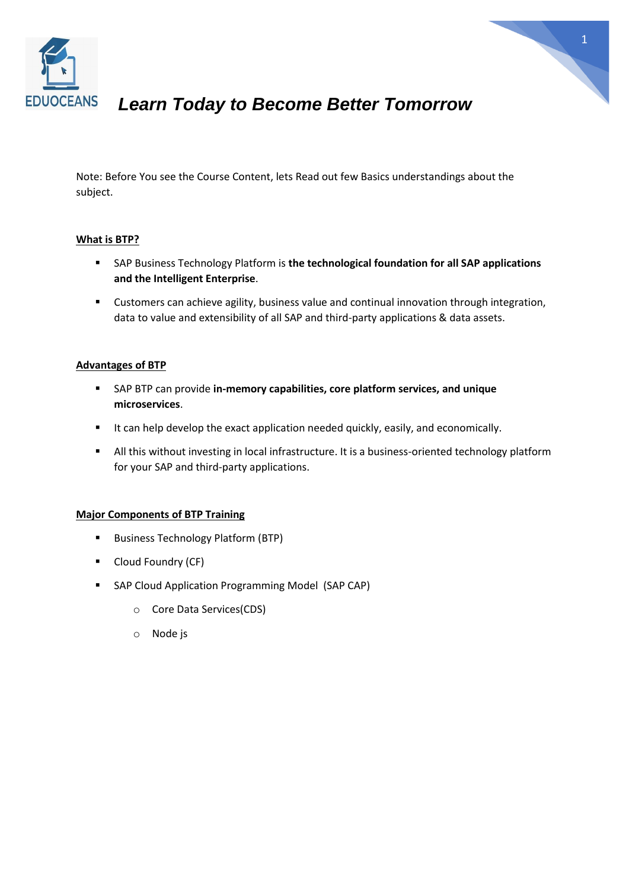



## *Learn Today to Become Better Tomorrow*

Note: Before You see the Course Content, lets Read out few Basics understandings about the subject.

#### **What is BTP?**

- SAP Business Technology Platform is **the technological foundation for all SAP applications and the Intelligent Enterprise**.
- Customers can achieve agility, business value and continual innovation through integration, data to value and extensibility of all SAP and third-party applications & data assets.

### **Advantages of BTP**

- SAP BTP can provide **in-memory capabilities, core platform services, and unique microservices**.
- It can help develop the exact application needed quickly, easily, and economically.
- All this without investing in local infrastructure. It is a business-oriented technology platform for your SAP and third-party applications.

#### **Major Components of BTP Training**

- Business Technology Platform (BTP)
- Cloud Foundry (CF)
- SAP Cloud Application Programming Model (SAP CAP)
	- o Core Data Services(CDS)
	- o Node js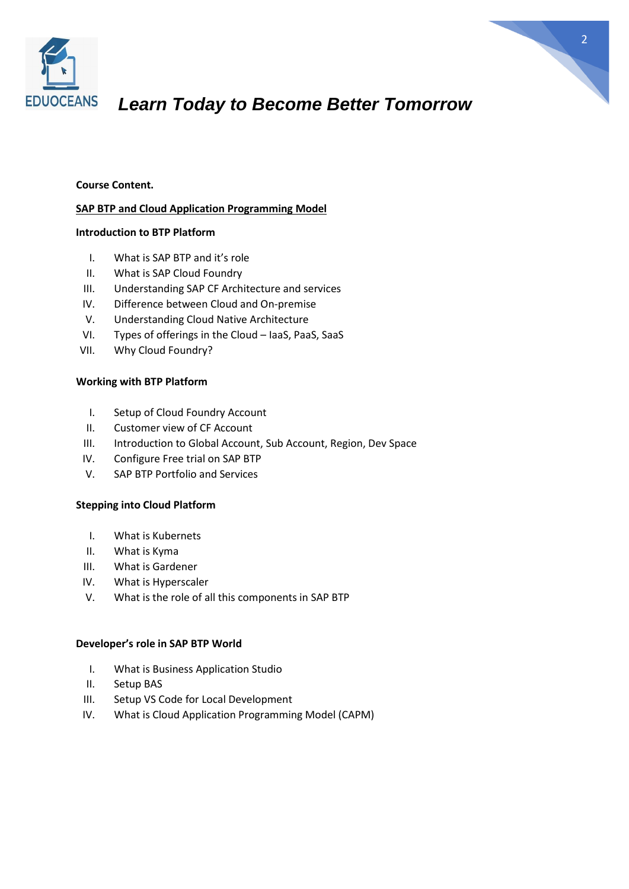

# *Learn Today to Become Better Tomorrow*

#### **Course Content.**

#### **SAP BTP and Cloud Application Programming Model**

#### **Introduction to BTP Platform**

- I. What is SAP BTP and it's role
- II. What is SAP Cloud Foundry
- III. Understanding SAP CF Architecture and services
- IV. Difference between Cloud and On-premise
- V. Understanding Cloud Native Architecture
- VI. Types of offerings in the Cloud IaaS, PaaS, SaaS
- VII. Why Cloud Foundry?

#### **Working with BTP Platform**

- I. Setup of Cloud Foundry Account
- II. Customer view of CF Account
- III. Introduction to Global Account, Sub Account, Region, Dev Space
- IV. Configure Free trial on SAP BTP
- V. SAP BTP Portfolio and Services

#### **Stepping into Cloud Platform**

- I. What is Kubernets
- II. What is Kyma
- III. What is Gardener
- IV. What is Hyperscaler
- V. What is the role of all this components in SAP BTP

#### **Developer's role in SAP BTP World**

- I. What is Business Application Studio
- II. Setup BAS
- III. Setup VS Code for Local Development
- IV. What is Cloud Application Programming Model (CAPM)